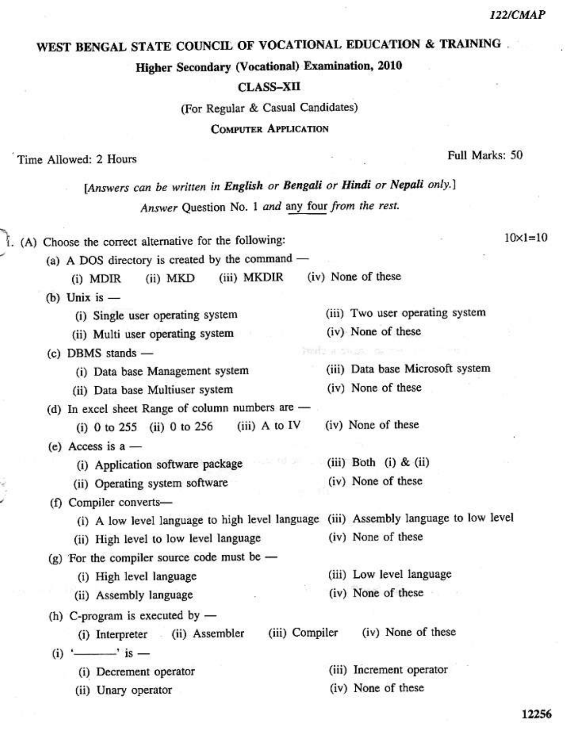## **122/CMAP**

## WEST BENGAL STATE COUNCIL OF VOCATIONAL EDUCATION & TRAINING.

Higher Secondary (Vocational) Examination, 2010

## **CLASS-XII**

(For Regular & Casual Candidates)

**COMPUTER APPLICATION** 

Time Allowed: 2 Hours

Full Marks: 50

| [Answers can be written in English or Bengali or Hindi or Nepali only.]                                                                                 |                                                        |
|---------------------------------------------------------------------------------------------------------------------------------------------------------|--------------------------------------------------------|
| Answer Question No. 1 and any four from the rest.                                                                                                       |                                                        |
| . (A) Choose the correct alternative for the following:<br>(a) A DOS directory is created by the command -                                              | $10 \times 1 = 10$                                     |
| (iii) MKDIR<br>(ii) MKD<br>$(i)$ MDIR                                                                                                                   | (iv) None of these                                     |
| (b) Unix is $-$<br>(i) Single user operating system                                                                                                     | (iii) Two user operating system                        |
| (ii) Multi user operating system                                                                                                                        | (iv) None of these<br>PUBLICATION SEC ER               |
| (c) DBMS stands -<br>(i) Data base Management system<br>(ii) Data base Multiuser system                                                                 | (iii) Data base Microsoft system<br>(iv) None of these |
| (d) In excel sheet Range of column numbers are -<br>$(iii)$ A to IV<br>(i) 0 to 255 (ii) 0 to 256                                                       | (iv) None of these                                     |
| (e) Access is $a -$<br>(i) Application software package<br>(ii) Operating system software                                                               | (iii) Both (i) $\&$ (ii)<br>(iv) None of these         |
| (f) Compiler converts-<br>(i) A low level language to high level language (iii) Assembly language to low level<br>(ii) High level to low level language | (iv) None of these                                     |
| (g) For the compiler source code must be $-$<br>(i) High level language<br>(ii) Assembly language                                                       | (iii) Low level language<br>(iv) None of these         |
| (h) C-program is executed by $-$<br>(i) Interpreter (ii) Assembler<br>$(i)$ ' $\longrightarrow$ ' is $-$                                                | (iv) None of these<br>(iii) Compiler                   |
| (i) Decrement operator                                                                                                                                  | (iii) Increment operator                               |
| (ii) Unary operator                                                                                                                                     | (iv) None of these                                     |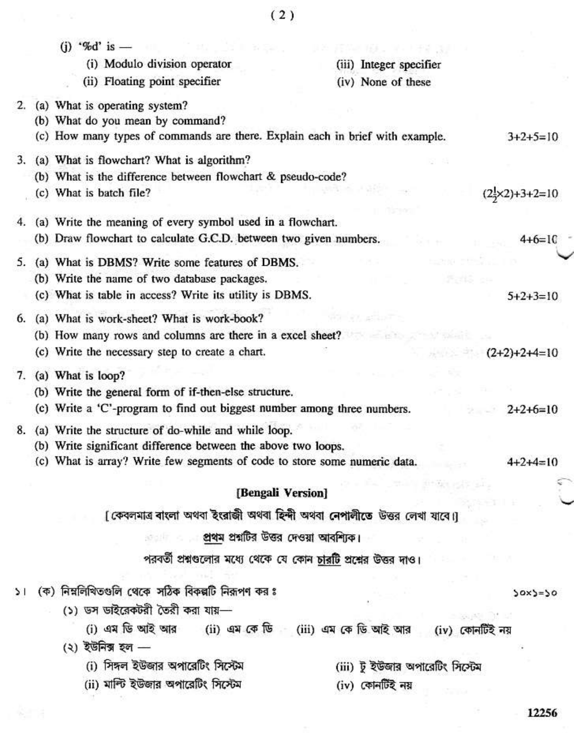|        | (i) '%d' is $-$                                                               |                                                                           |                                        |
|--------|-------------------------------------------------------------------------------|---------------------------------------------------------------------------|----------------------------------------|
|        | (i) Modulo division operator                                                  | (iii) Integer specifier                                                   |                                        |
|        | (ii) Floating point specifier                                                 | (iv) None of these                                                        |                                        |
| 2.     | (a) What is operating system?                                                 |                                                                           |                                        |
|        | (b) What do you mean by command?                                              |                                                                           |                                        |
|        | (c) How many types of commands are there. Explain each in brief with example. |                                                                           | $3+2+5=10$                             |
| 3.     | (a) What is flowchart? What is algorithm?                                     |                                                                           |                                        |
|        | (b) What is the difference between flowchart & pseudo-code?                   |                                                                           |                                        |
|        | (c) What is batch file?                                                       |                                                                           | $(2\frac{1}{2} \times 2) + 3 + 2 = 10$ |
| 4.     | (a) Write the meaning of every symbol used in a flowchart.                    |                                                                           |                                        |
|        | (b) Draw flowchart to calculate G.C.D. between two given numbers.             |                                                                           | $4+6=10$                               |
| 5.     | (a) What is DBMS? Write some features of DBMS.                                |                                                                           |                                        |
|        | (b) Write the name of two database packages.                                  |                                                                           |                                        |
|        | (c) What is table in access? Write its utility is DBMS.                       |                                                                           | $5+2+3=10$                             |
| 6.     | (a) What is work-sheet? What is work-book?                                    |                                                                           |                                        |
|        | (b) How many rows and columns are there in a excel sheet?                     |                                                                           |                                        |
|        | (c) Write the necessary step to create a chart.                               |                                                                           | $(2+2)+2+4=10$                         |
| 7.     | (a) What is loop?                                                             |                                                                           |                                        |
|        | (b) Write the general form of if-then-else structure.                         |                                                                           |                                        |
|        | (c) Write a 'C'-program to find out biggest number among three numbers.       |                                                                           | $2+2+6=10$                             |
| 8.     | (a) Write the structure of do-while and while loop.                           |                                                                           |                                        |
|        | (b) Write significant difference between the above two loops.                 |                                                                           |                                        |
|        | (c) What is array? Write few segments of code to store some numeric data.     |                                                                           | $4 + 2 + 4 = 10$                       |
|        |                                                                               |                                                                           |                                        |
|        |                                                                               | [Bengali Version]                                                         |                                        |
|        |                                                                               | [ কেবলমাত্র ৰাংলা অথবা ইংরাজী অথবা হিন্দী অথবা নেপালীতে উত্তর লেখা যাবে।] |                                        |
|        |                                                                               | া প্রথম প্রশ্নটির উত্তর দেওয়া আবশ্যিক।                                   |                                        |
|        |                                                                               | পরবর্তী প্রশ্নগুলোর মধ্যে থেকে যে কোন চারটি প্রশ্নের উত্তর দাও।           |                                        |
|        | (ক) নিম্নলিখিতগুলি থেকে সঠিক বিকল্পটি নিরূপণ কর ঃ                             |                                                                           |                                        |
| $\geq$ |                                                                               |                                                                           | $30x$ $50$                             |
|        | (১) ডস ডাইরেকটরী তৈরী করা যায়—                                               |                                                                           | 39,35 31 51                            |
|        |                                                                               | (i) এম ডি আই আর (ii) এম কে ডি (iii) এম কে ডি আই আর (iv) কোনটিই নয়        |                                        |
|        | (২) ইউনিক্স হল —                                                              |                                                                           |                                        |
|        | (i) সিঙ্গল ইউজার অপারেটিং সিস্টেম                                             | (iii) টু ইউজার অপারেটিং সিস্টেম                                           |                                        |
|        | (ii) মাল্টি ইউজার অপারেটিং সিস্টেম                                            | (iv) কোনটিই নয়                                                           |                                        |
|        |                                                                               |                                                                           | 12256                                  |

 $(2)$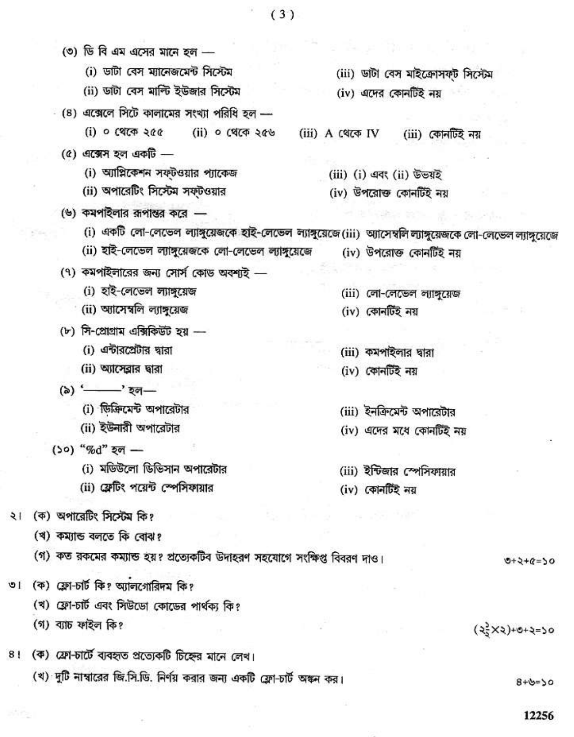(৩) ডি বি এম এসের মানে হল -(i) ডাটা বেস ম্যানেজমেন্ট সিস্টেম (iii) ডাঁটা বেস মাইক্রোসফট সিস্টেম (ii) ডাটা বেস মাল্টি ইউজার সিস্টেম (iv) এদের কোনটিই নয়  $-$  (8) এক্সেলে সিটে কালামের সংখ্যা পরিধি হল — (ii) ০ থেকে ২৫৬  $(i)$  ০ থেকে ২৫৫ (iii) A থেকে IV (iii) কোনটিই নয়  $(6)$  এক্সেস হল একটি — (i) আগ্নিকেশন সফ্টওয়ার প্যাকেজ (iii) (i) এবং (ii) উভয়ই (ii) অপারেটিং সিস্টেম সফ্টওয়ার (iv) উপরোক্ত কোনর্টিই নয় (৬) কমপাইলার রূপান্তর করে -(i) একটি লো-লেভেল ল্যাঙ্গুয়েজকে হাই-লেভেল ল্যাঙ্গুয়েজে(iii) অ্যাসেম্বলি ল্যাঙ্গুয়েজকে লো-লেভেল ল্যাঙ্গুয়েজে (ii) হাই-লেভেল ল্যাঙ্গুয়েজকে লো-লেভেল ল্যাঙ্গুয়েজে (iv) উপরোক্ত কোনর্টিই নয় (৭) কমপাইলারের জন্য সোর্স কোড অবশ্যই -(i) হাই-লেভেল ল্যাঙ্গুয়েজ (iii) লো-লেভেল ল্যাঙ্গুয়েজ (ii) আসেম্বলি ল্যাঙ্গুয়েজ (iv) কোনৰ্টিই নয়  $(v)$  সি-প্রোগ্রাম এক্সিকিউট হয় -(i) এন্টারপ্রেটার দ্বারা (iii) কমপাইলার দ্বারা (ii) অ্যাসেব্রার দ্বারা (iv) কোনটিই নয় (৯) '- ' হল-(i) ডিজিমেন্ট অপারেটার (iii) ইনক্রিমেন্ট অপারেটার (ii) ইউনারী অপারেটার (iv) এদের মধে কোনটিই নয় (১০) "%d" হল -(i) মডিউলো ডিভিসান অপারেটার (iii) ইন্টিজার স্পেসিফায়ার (ii) ফ্রেটিং পয়েন্ট স্পেসিফায়ার (iv) কোনটিই নয় ২। (ক) অপারেটিং সিস্টেম কি? (খ) কম্যান্ড বলতে কি বোঝ? (গ) কত রকমের কম্যান্ড হয়? প্রত্যেকটিব উদাহরণ সহযোগে সংক্ষিপ্ত বিবরণ দাও।  $0+2+6=50$ ৩। (ক) ফ্লো-চার্ট কি? অ্যালগোরিদম কি? (খ) ফ্রো-চার্ট এবং সিউডো কোডের পার্থক্য কি? (গ) ব্যাচ ফাইল কি?  $(35x3)+0+5=50$ 8! (क) ফ্রো-চার্টে ব্যবহৃত প্রত্যেকটি চিহ্নের মানে লেখ। (খ) দুটি নাম্বারের জি.সি.ডি. নির্ণয় করার জন্য একটি ফ্লো-চার্ট অঙ্কন কর।

12256

 $8 + b = 50$